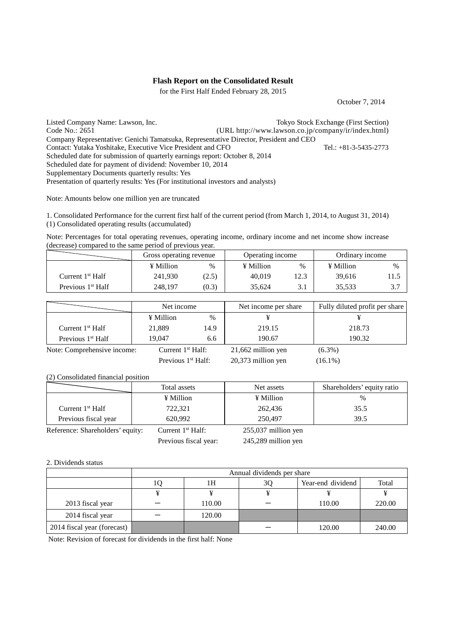## **Flash Report on the Consolidated Result**

for the First Half Ended February 28, 2015

October 7, 2014

Listed Company Name: Lawson, Inc.<br>
Code No.: 2651<br>
(URL http://www.lawson.co.ip/company/ir/index.html)  $(URL http://www.lawson.co.jp/company/ir/index.html)$ Company Representative: Genichi Tamatsuka, Representative Director, President and CEO Contact: Yutaka Yoshitake, Executive Vice President and CFO Tel.: +81-3-5435-2773 Scheduled date for submission of quarterly earnings report: October 8, 2014 Scheduled date for payment of dividend: November 10, 2014 Supplementary Documents quarterly results: Yes Presentation of quarterly results: Yes (For institutional investors and analysts)

Note: Amounts below one million yen are truncated

1. Consolidated Performance for the current first half of the current period (from March 1, 2014, to August 31, 2014) (1) Consolidated operating results (accumulated)

Note: Percentages for total operating revenues, operating income, ordinary income and net income show increase (decrease) compared to the same period of previous year.

|                               | Gross operating revenue |       | Operating income |      | Ordinary income |      |
|-------------------------------|-------------------------|-------|------------------|------|-----------------|------|
|                               | ¥ Million               | %     | ¥ Million        | %    | ¥ Million       | $\%$ |
| Current $1st$ Half            | 241.930                 | (2.5) | 40.019           | 12.3 | 39.616          | 11.5 |
| Previous 1 <sup>st</sup> Half | 248,197                 | (0.3) | 35.624           | ر د  | 35.533          |      |

|                               | Net income           |      | Net income per share |            | Fully diluted profit per share |
|-------------------------------|----------------------|------|----------------------|------------|--------------------------------|
|                               | ¥ Million            | $\%$ |                      |            |                                |
| Current $1st$ Half            | 21,889               | 14.9 | 219.15               |            | 218.73                         |
| Previous 1 <sup>st</sup> Half | 19.047               | 6.6  | 190.67               |            | 190.32                         |
| Note: Comprehensive income:   | Current $1st Half$ : |      | 21,662 million yen   | $(6.3\%)$  |                                |
|                               | Previous $1st$ Half: |      | 20,373 million yen   | $(16.1\%)$ |                                |

(2) Consolidated financial position

|                                  | Total assets        | Net assets            | Shareholders' equity ratio |
|----------------------------------|---------------------|-----------------------|----------------------------|
|                                  | ¥ Million           | ¥ Million             | $\frac{0}{0}$              |
| Current $1st Half$               | 722,321             | 262,436               | 35.5                       |
| Previous fiscal year             | 620.992             | 250,497               | 39.5                       |
| Reference: Shareholders' equity: | Current $1st$ Half: | $255,037$ million yen |                            |

### Previous fiscal year: 245,289 million yen

### 2. Dividends status

|                             | Annual dividends per share |        |    |                   |        |  |
|-----------------------------|----------------------------|--------|----|-------------------|--------|--|
|                             |                            | 1Н     | 3Q | Year-end dividend | Total  |  |
|                             |                            |        |    |                   |        |  |
| 2013 fiscal year            |                            | 110.00 |    | 110.00            | 220.00 |  |
| 2014 fiscal year            |                            | 120.00 |    |                   |        |  |
| 2014 fiscal year (forecast) |                            |        |    | 120.00            | 240.00 |  |

Note: Revision of forecast for dividends in the first half: None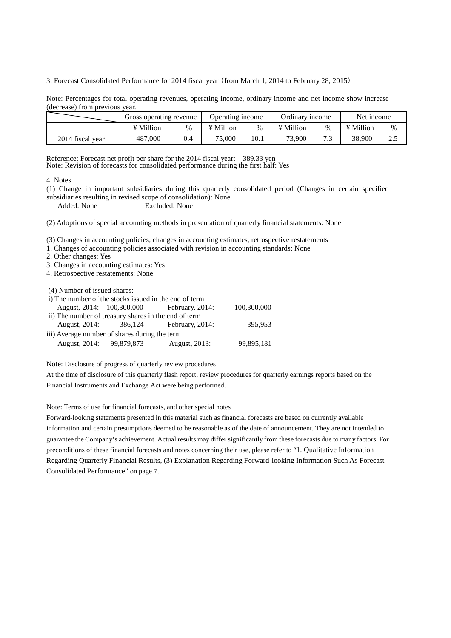3. Forecast Consolidated Performance for 2014 fiscal year (from March 1, 2014 to February 28, 2015)

Note: Percentages for total operating revenues, operating income, ordinary income and net income show increase (decrease) from previous year.

|                  | Gross operating revenue |   | Operating income |      | Ordinary income  |    | Net income |      |
|------------------|-------------------------|---|------------------|------|------------------|----|------------|------|
|                  | ¥ Million               | % | ¥ Million        | $\%$ | $\angle$ Million | %  | ¥ Million  | $\%$ |
| 2014 fiscal year | 487,000                 |   | 75.000           | 10.1 | 73,900           | 73 | 38.900     | ۷.L  |

Reference: Forecast net profit per share for the 2014 fiscal year: 389.33 yen Note: Revision of forecasts for consolidated performance during the first half: Yes

#### 4. Notes

(1) Change in important subsidiaries during this quarterly consolidated period (Changes in certain specified subsidiaries resulting in revised scope of consolidation): None

Added: None Excluded: None

(2) Adoptions of special accounting methods in presentation of quarterly financial statements: None

(3) Changes in accounting policies, changes in accounting estimates, retrospective restatements

1. Changes of accounting policies associated with revision in accounting standards: None

2. Other changes: Yes

3. Changes in accounting estimates: Yes

4. Retrospective restatements: None

(4) Number of issued shares:

| i) The number of the stocks issued in the end of term |  |                                           |             |  |  |  |
|-------------------------------------------------------|--|-------------------------------------------|-------------|--|--|--|
|                                                       |  | August, 2014: 100,300,000 February, 2014: | 100,300,000 |  |  |  |
| ii) The number of treasury shares in the end of term  |  |                                           |             |  |  |  |
|                                                       |  | August, 2014: 386, 124 February, 2014:    | 395,953     |  |  |  |
| iii) Average number of shares during the term         |  |                                           |             |  |  |  |
| August, 2014: 99,879,873                              |  | August, 2013:                             | 99,895,181  |  |  |  |
|                                                       |  |                                           |             |  |  |  |

Note: Disclosure of progress of quarterly review procedures

At the time of disclosure of this quarterly flash report, review procedures for quarterly earnings reports based on the Financial Instruments and Exchange Act were being performed.

Note: Terms of use for financial forecasts, and other special notes

Forward-looking statements presented in this material such as financial forecasts are based on currently available information and certain presumptions deemed to be reasonable as of the date of announcement. They are not intended to guarantee the Company's achievement. Actual results may differ significantly from these forecasts due to many factors. For preconditions of these financial forecasts and notes concerning their use, please refer to "1. Qualitative Information Regarding Quarterly Financial Results, (3) Explanation Regarding Forward-looking Information Such As Forecast Consolidated Performance" on page 7.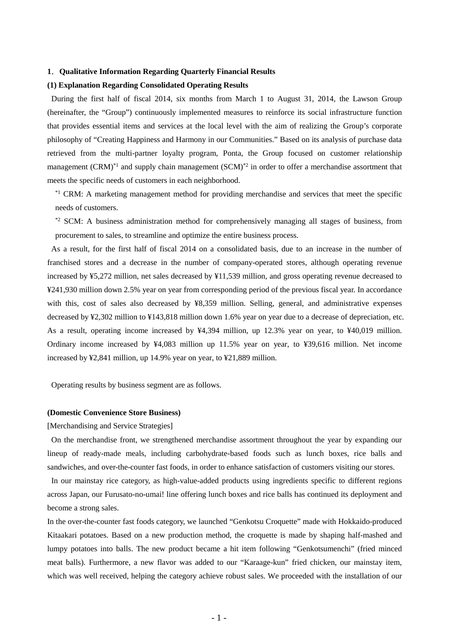### **1**.**Qualitative Information Regarding Quarterly Financial Results**

### **(1) Explanation Regarding Consolidated Operating Results**

During the first half of fiscal 2014, six months from March 1 to August 31, 2014, the Lawson Group (hereinafter, the "Group") continuously implemented measures to reinforce its social infrastructure function that provides essential items and services at the local level with the aim of realizing the Group's corporate philosophy of "Creating Happiness and Harmony in our Communities." Based on its analysis of purchase data retrieved from the multi-partner loyalty program, Ponta, the Group focused on customer relationship management  $(CRM)^*$ <sup>1</sup> and supply chain management  $(SCM)^*$ <sup>2</sup> in order to offer a merchandise assortment that meets the specific needs of customers in each neighborhood.

\*<sup>1</sup> CRM: A marketing management method for providing merchandise and services that meet the specific needs of customers.

\*2 SCM: A business administration method for comprehensively managing all stages of business, from procurement to sales, to streamline and optimize the entire business process.

As a result, for the first half of fiscal 2014 on a consolidated basis, due to an increase in the number of franchised stores and a decrease in the number of company-operated stores, although operating revenue increased by ¥5,272 million, net sales decreased by ¥11,539 million, and gross operating revenue decreased to ¥241,930 million down 2.5% year on year from corresponding period of the previous fiscal year. In accordance with this, cost of sales also decreased by ¥8,359 million. Selling, general, and administrative expenses decreased by ¥2,302 million to ¥143,818 million down 1.6% year on year due to a decrease of depreciation, etc. As a result, operating income increased by ¥4,394 million, up 12.3% year on year, to ¥40,019 million. Ordinary income increased by ¥4,083 million up 11.5% year on year, to ¥39,616 million. Net income increased by ¥2,841 million, up 14.9% year on year, to ¥21,889 million.

Operating results by business segment are as follows.

#### **(Domestic Convenience Store Business)**

[Merchandising and Service Strategies]

On the merchandise front, we strengthened merchandise assortment throughout the year by expanding our lineup of ready-made meals, including carbohydrate-based foods such as lunch boxes, rice balls and sandwiches, and over-the-counter fast foods, in order to enhance satisfaction of customers visiting our stores.

In our mainstay rice category, as high-value-added products using ingredients specific to different regions across Japan, our Furusato-no-umai! line offering lunch boxes and rice balls has continued its deployment and become a strong sales.

In the over-the-counter fast foods category, we launched "Genkotsu Croquette" made with Hokkaido-produced Kitaakari potatoes. Based on a new production method, the croquette is made by shaping half-mashed and lumpy potatoes into balls. The new product became a hit item following "Genkotsumenchi" (fried minced meat balls). Furthermore, a new flavor was added to our "Karaage-kun" fried chicken, our mainstay item, which was well received, helping the category achieve robust sales. We proceeded with the installation of our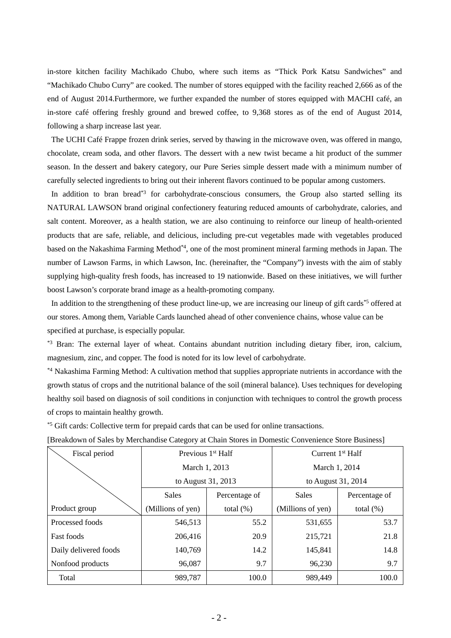in-store kitchen facility Machikado Chubo, where such items as "Thick Pork Katsu Sandwiches" and "Machikado Chubo Curry" are cooked. The number of stores equipped with the facility reached 2,666 as of the end of August 2014.Furthermore, we further expanded the number of stores equipped with MACHI café, an in-store café offering freshly ground and brewed coffee, to 9,368 stores as of the end of August 2014, following a sharp increase last year.

The UCHI Café Frappe frozen drink series, served by thawing in the microwave oven, was offered in mango, chocolate, cream soda, and other flavors. The dessert with a new twist became a hit product of the summer season. In the dessert and bakery category, our Pure Series simple dessert made with a minimum number of carefully selected ingredients to bring out their inherent flavors continued to be popular among customers.

In addition to bran bread<sup>\*3</sup> for carbohydrate-conscious consumers, the Group also started selling its NATURAL LAWSON brand original confectionery featuring reduced amounts of carbohydrate, calories, and salt content. Moreover, as a health station, we are also continuing to reinforce our lineup of health-oriented products that are safe, reliable, and delicious, including pre-cut vegetables made with vegetables produced based on the Nakashima Farming Method\*4, one of the most prominent mineral farming methods in Japan. The number of Lawson Farms, in which Lawson, Inc. (hereinafter, the "Company") invests with the aim of stably supplying high-quality fresh foods, has increased to 19 nationwide. Based on these initiatives, we will further boost Lawson's corporate brand image as a health-promoting company.

In addition to the strengthening of these product line-up, we are increasing our lineup of gift cards<sup>\*5</sup> offered at our stores. Among them, Variable Cards launched ahead of other convenience chains, whose value can be specified at purchase, is especially popular.

\*<sup>3</sup> Bran: The external layer of wheat. Contains abundant nutrition including dietary fiber, iron, calcium, magnesium, zinc, and copper. The food is noted for its low level of carbohydrate.

\*4 Nakashima Farming Method: A cultivation method that supplies appropriate nutrients in accordance with the growth status of crops and the nutritional balance of the soil (mineral balance). Uses techniques for developing healthy soil based on diagnosis of soil conditions in conjunction with techniques to control the growth process of crops to maintain healthy growth.

\*5 Gift cards: Collective term for prepaid cards that can be used for online transactions.

| Fiscal period         | Previous 1 <sup>st</sup> Half |              | Current $1st$ Half |               |  |
|-----------------------|-------------------------------|--------------|--------------------|---------------|--|
|                       | March 1, 2013                 |              | March 1, 2014      |               |  |
|                       | to August 31, 2013            |              | to August 31, 2014 |               |  |
|                       | <b>Sales</b><br>Percentage of |              | <b>Sales</b>       | Percentage of |  |
| Product group         | (Millions of yen)             | total $(\%)$ | (Millions of yen)  | total $(\%)$  |  |
| Processed foods       | 546,513                       | 55.2         | 531,655            | 53.7          |  |
| <b>Fast foods</b>     | 206,416                       | 20.9         | 215,721            | 21.8          |  |
| Daily delivered foods | 140,769                       | 14.2         | 145,841            | 14.8          |  |
| Nonfood products      | 96,087                        | 9.7          | 96,230             | 9.7           |  |
| Total                 | 989,787                       | 100.0        | 989,449            | 100.0         |  |

[Breakdown of Sales by Merchandise Category at Chain Stores in Domestic Convenience Store Business]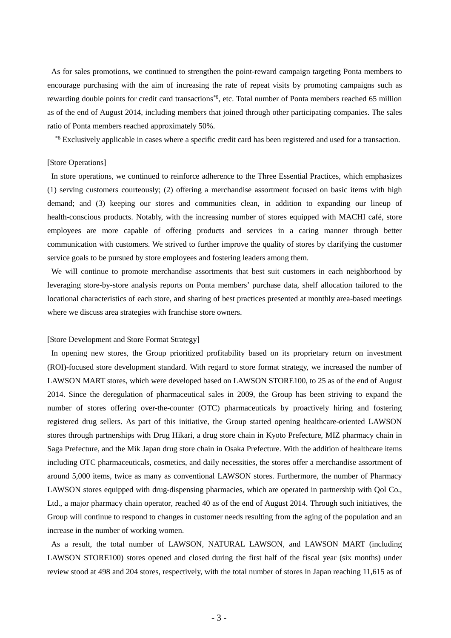As for sales promotions, we continued to strengthen the point-reward campaign targeting Ponta members to encourage purchasing with the aim of increasing the rate of repeat visits by promoting campaigns such as rewarding double points for credit card transactions<sup>\*6</sup>, etc. Total number of Ponta members reached 65 million as of the end of August 2014, including members that joined through other participating companies. The sales ratio of Ponta members reached approximately 50%.

\*6 Exclusively applicable in cases where a specific credit card has been registered and used for a transaction.

## [Store Operations]

In store operations, we continued to reinforce adherence to the Three Essential Practices, which emphasizes (1) serving customers courteously; (2) offering a merchandise assortment focused on basic items with high demand; and (3) keeping our stores and communities clean, in addition to expanding our lineup of health-conscious products. Notably, with the increasing number of stores equipped with MACHI café, store employees are more capable of offering products and services in a caring manner through better communication with customers. We strived to further improve the quality of stores by clarifying the customer service goals to be pursued by store employees and fostering leaders among them.

We will continue to promote merchandise assortments that best suit customers in each neighborhood by leveraging store-by-store analysis reports on Ponta members' purchase data, shelf allocation tailored to the locational characteristics of each store, and sharing of best practices presented at monthly area-based meetings where we discuss area strategies with franchise store owners.

#### [Store Development and Store Format Strategy]

In opening new stores, the Group prioritized profitability based on its proprietary return on investment (ROI)-focused store development standard. With regard to store format strategy, we increased the number of LAWSON MART stores, which were developed based on LAWSON STORE100, to 25 as of the end of August 2014. Since the deregulation of pharmaceutical sales in 2009, the Group has been striving to expand the number of stores offering over-the-counter (OTC) pharmaceuticals by proactively hiring and fostering registered drug sellers. As part of this initiative, the Group started opening healthcare-oriented LAWSON stores through partnerships with Drug Hikari, a drug store chain in Kyoto Prefecture, MIZ pharmacy chain in Saga Prefecture, and the Mik Japan drug store chain in Osaka Prefecture. With the addition of healthcare items including OTC pharmaceuticals, cosmetics, and daily necessities, the stores offer a merchandise assortment of around 5,000 items, twice as many as conventional LAWSON stores. Furthermore, the number of Pharmacy LAWSON stores equipped with drug-dispensing pharmacies, which are operated in partnership with Qol Co., Ltd., a major pharmacy chain operator, reached 40 as of the end of August 2014. Through such initiatives, the Group will continue to respond to changes in customer needs resulting from the aging of the population and an increase in the number of working women.

As a result, the total number of LAWSON, NATURAL LAWSON, and LAWSON MART (including LAWSON STORE100) stores opened and closed during the first half of the fiscal year (six months) under review stood at 498 and 204 stores, respectively, with the total number of stores in Japan reaching 11,615 as of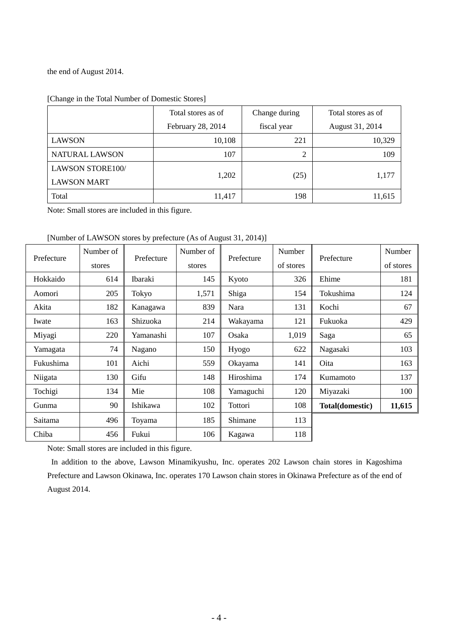the end of August 2014.

|                         | Total stores as of | Change during | Total stores as of |
|-------------------------|--------------------|---------------|--------------------|
|                         | February 28, 2014  | fiscal year   | August 31, 2014    |
| <b>LAWSON</b>           | 10,108             | 221           | 10,329             |
| NATURAL LAWSON          | 107                | 2             | 109                |
| <b>LAWSON STORE100/</b> |                    |               |                    |
| <b>LAWSON MART</b>      | 1,202              | (25)          | 1,177              |
| Total                   | 11,417             | 198           | 11,615             |

|  | [Change in the Total Number of Domestic Stores] |
|--|-------------------------------------------------|
|  |                                                 |

Note: Small stores are included in this figure.

[Number of LAWSON stores by prefecture (As of August 31, 2014)]

| Prefecture | Number of | Prefecture | Number of | Prefecture | Number    | Prefecture      | Number    |
|------------|-----------|------------|-----------|------------|-----------|-----------------|-----------|
|            | stores    |            | stores    |            | of stores |                 | of stores |
| Hokkaido   | 614       | Ibaraki    | 145       | Kyoto      | 326       | Ehime           | 181       |
| Aomori     | 205       | Tokyo      | 1,571     | Shiga      | 154       | Tokushima       | 124       |
| Akita      | 182       | Kanagawa   | 839       | Nara       | 131       | Kochi           | 67        |
| Iwate      | 163       | Shizuoka   | 214       | Wakayama   | 121       | Fukuoka         | 429       |
| Miyagi     | 220       | Yamanashi  | 107       | Osaka      | 1,019     | Saga            | 65        |
| Yamagata   | 74        | Nagano     | 150       | Hyogo      | 622       | Nagasaki        | 103       |
| Fukushima  | 101       | Aichi      | 559       | Okayama    | 141       | Oita            | 163       |
| Niigata    | 130       | Gifu       | 148       | Hiroshima  | 174       | Kumamoto        | 137       |
| Tochigi    | 134       | Mie        | 108       | Yamaguchi  | 120       | Miyazaki        | 100       |
| Gunma      | 90        | Ishikawa   | 102       | Tottori    | 108       | Total(domestic) | 11,615    |
| Saitama    | 496       | Toyama     | 185       | Shimane    | 113       |                 |           |
| Chiba      | 456       | Fukui      | 106       | Kagawa     | 118       |                 |           |

Note: Small stores are included in this figure.

In addition to the above, Lawson Minamikyushu, Inc. operates 202 Lawson chain stores in Kagoshima Prefecture and Lawson Okinawa, Inc. operates 170 Lawson chain stores in Okinawa Prefecture as of the end of August 2014.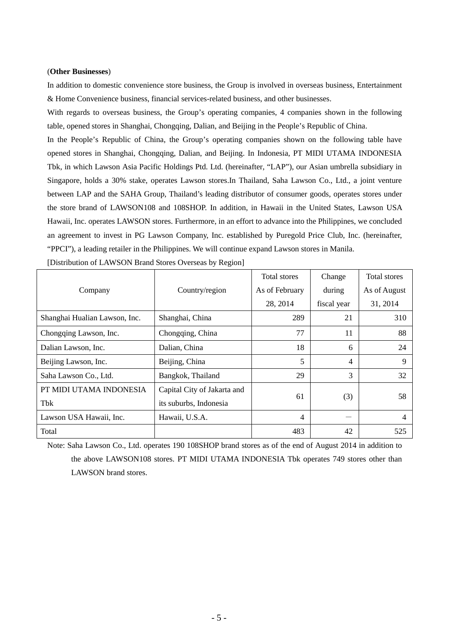### (**Other Businesses**)

In addition to domestic convenience store business, the Group is involved in overseas business, Entertainment & Home Convenience business, financial services-related business, and other businesses.

With regards to overseas business, the Group's operating companies, 4 companies shown in the following table, opened stores in Shanghai, Chongqing, Dalian, and Beijing in the People's Republic of China.

In the People's Republic of China, the Group's operating companies shown on the following table have opened stores in Shanghai, Chongqing, Dalian, and Beijing. In Indonesia, PT MIDI UTAMA INDONESIA Tbk, in which Lawson Asia Pacific Holdings Ptd. Ltd. (hereinafter, "LAP"), our Asian umbrella subsidiary in Singapore, holds a 30% stake, operates Lawson stores.In Thailand, Saha Lawson Co., Ltd., a joint venture between LAP and the SAHA Group, Thailand's leading distributor of consumer goods, operates stores under the store brand of LAWSON108 and 108SHOP. In addition, in Hawaii in the United States, Lawson USA Hawaii, Inc. operates LAWSON stores. Furthermore, in an effort to advance into the Philippines, we concluded an agreement to invest in PG Lawson Company, Inc. established by Puregold Price Club, Inc. (hereinafter, "PPCI"), a leading retailer in the Philippines. We will continue expand Lawson stores in Manila.

|                               |                             | <b>Total stores</b> | Change      | <b>Total stores</b> |
|-------------------------------|-----------------------------|---------------------|-------------|---------------------|
| Company                       | Country/region              | As of February      | during      | As of August        |
|                               |                             | 28, 2014            | fiscal year | 31, 2014            |
| Shanghai Hualian Lawson, Inc. | Shanghai, China             | 289                 | 21          | 310                 |
| Chongqing Lawson, Inc.        | Chongqing, China            | 77                  | 11          | 88                  |
| Dalian Lawson, Inc.           | Dalian, China               | 18                  | 6           | 24                  |
| Beijing Lawson, Inc.          | Beijing, China              | 5                   | 4           | 9                   |
| Saha Lawson Co., Ltd.         | Bangkok, Thailand           | 29                  | 3           | 32                  |
| PT MIDI UTAMA INDONESIA       | Capital City of Jakarta and |                     |             |                     |
| Tbk                           | its suburbs, Indonesia      | 61                  | (3)         | 58                  |
| Lawson USA Hawaii, Inc.       | Hawaii, U.S.A.              | $\overline{4}$      |             | 4                   |
| Total                         |                             | 483                 | 42          | 525                 |

[Distribution of LAWSON Brand Stores Overseas by Region]

Note: Saha Lawson Co., Ltd. operates 190 108SHOP brand stores as of the end of August 2014 in addition to the above LAWSON108 stores. PT MIDI UTAMA INDONESIA Tbk operates 749 stores other than LAWSON brand stores.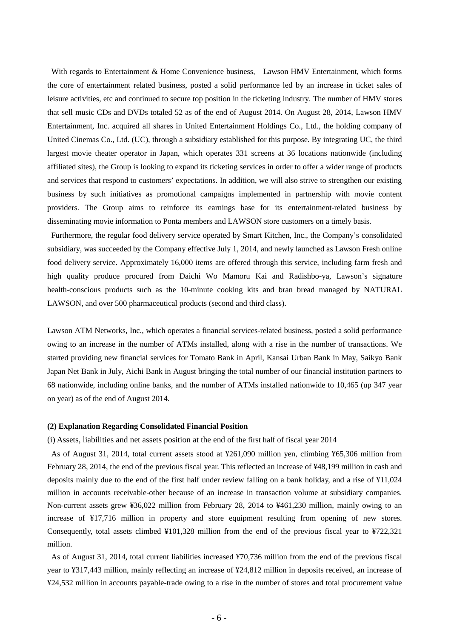With regards to Entertainment & Home Convenience business, Lawson HMV Entertainment, which forms the core of entertainment related business, posted a solid performance led by an increase in ticket sales of leisure activities, etc and continued to secure top position in the ticketing industry. The number of HMV stores that sell music CDs and DVDs totaled 52 as of the end of August 2014. On August 28, 2014, Lawson HMV Entertainment, Inc. acquired all shares in United Entertainment Holdings Co., Ltd., the holding company of United Cinemas Co., Ltd. (UC), through a subsidiary established for this purpose. By integrating UC, the third largest movie theater operator in Japan, which operates 331 screens at 36 locations nationwide (including affiliated sites), the Group is looking to expand its ticketing services in order to offer a wider range of products and services that respond to customers' expectations. In addition, we will also strive to strengthen our existing business by such initiatives as promotional campaigns implemented in partnership with movie content providers. The Group aims to reinforce its earnings base for its entertainment-related business by disseminating movie information to Ponta members and LAWSON store customers on a timely basis.

Furthermore, the regular food delivery service operated by Smart Kitchen, Inc., the Company's consolidated subsidiary, was succeeded by the Company effective July 1, 2014, and newly launched as Lawson Fresh online food delivery service. Approximately 16,000 items are offered through this service, including farm fresh and high quality produce procured from Daichi Wo Mamoru Kai and Radishbo-ya, Lawson's signature health-conscious products such as the 10-minute cooking kits and bran bread managed by NATURAL LAWSON, and over 500 pharmaceutical products (second and third class).

Lawson ATM Networks, Inc., which operates a financial services-related business, posted a solid performance owing to an increase in the number of ATMs installed, along with a rise in the number of transactions. We started providing new financial services for Tomato Bank in April, Kansai Urban Bank in May, Saikyo Bank Japan Net Bank in July, Aichi Bank in August bringing the total number of our financial institution partners to 68 nationwide, including online banks, and the number of ATMs installed nationwide to 10,465 (up 347 year on year) as of the end of August 2014.

### **(2) Explanation Regarding Consolidated Financial Position**

(i) Assets, liabilities and net assets position at the end of the first half of fiscal year 2014

As of August 31, 2014, total current assets stood at ¥261,090 million yen, climbing ¥65,306 million from February 28, 2014, the end of the previous fiscal year. This reflected an increase of ¥48,199 million in cash and deposits mainly due to the end of the first half under review falling on a bank holiday, and a rise of ¥11,024 million in accounts receivable-other because of an increase in transaction volume at subsidiary companies. Non-current assets grew ¥36,022 million from February 28, 2014 to ¥461,230 million, mainly owing to an increase of ¥17,716 million in property and store equipment resulting from opening of new stores. Consequently, total assets climbed ¥101,328 million from the end of the previous fiscal year to ¥722,321 million.

As of August 31, 2014, total current liabilities increased ¥70,736 million from the end of the previous fiscal year to ¥317,443 million, mainly reflecting an increase of ¥24,812 million in deposits received, an increase of ¥24,532 million in accounts payable-trade owing to a rise in the number of stores and total procurement value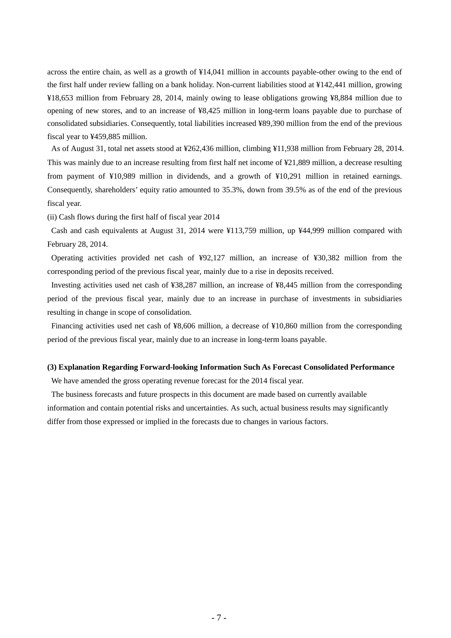across the entire chain, as well as a growth of ¥14,041 million in accounts payable-other owing to the end of the first half under review falling on a bank holiday. Non-current liabilities stood at ¥142,441 million, growing ¥18,653 million from February 28, 2014, mainly owing to lease obligations growing ¥8,884 million due to opening of new stores, and to an increase of ¥8,425 million in long-term loans payable due to purchase of consolidated subsidiaries. Consequently, total liabilities increased ¥89,390 million from the end of the previous fiscal year to ¥459,885 million.

As of August 31, total net assets stood at ¥262,436 million, climbing ¥11,938 million from February 28, 2014. This was mainly due to an increase resulting from first half net income of ¥21,889 million, a decrease resulting from payment of ¥10,989 million in dividends, and a growth of ¥10,291 million in retained earnings. Consequently, shareholders' equity ratio amounted to 35.3%, down from 39.5% as of the end of the previous fiscal year.

(ii) Cash flows during the first half of fiscal year 2014

Cash and cash equivalents at August 31, 2014 were ¥113,759 million, up ¥44,999 million compared with February 28, 2014.

Operating activities provided net cash of ¥92,127 million, an increase of ¥30,382 million from the corresponding period of the previous fiscal year, mainly due to a rise in deposits received.

Investing activities used net cash of ¥38,287 million, an increase of ¥8,445 million from the corresponding period of the previous fiscal year, mainly due to an increase in purchase of investments in subsidiaries resulting in change in scope of consolidation.

Financing activities used net cash of ¥8,606 million, a decrease of ¥10,860 million from the corresponding period of the previous fiscal year, mainly due to an increase in long-term loans payable.

#### **(3) Explanation Regarding Forward-looking Information Such As Forecast Consolidated Performance**

We have amended the gross operating revenue forecast for the 2014 fiscal year.

The business forecasts and future prospects in this document are made based on currently available information and contain potential risks and uncertainties. As such, actual business results may significantly differ from those expressed or implied in the forecasts due to changes in various factors.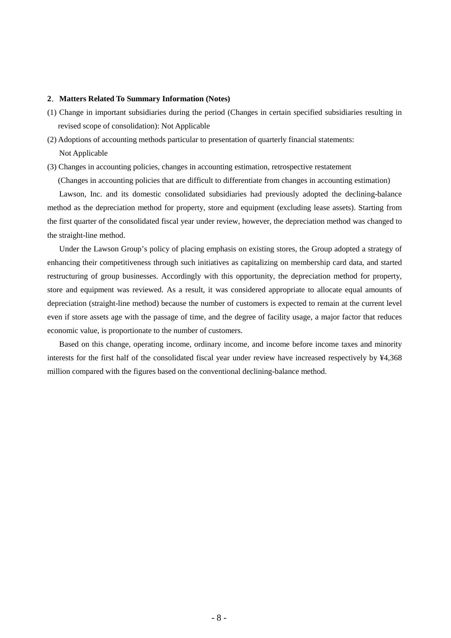## **2**.**Matters Related To Summary Information (Notes)**

- (1) Change in important subsidiaries during the period (Changes in certain specified subsidiaries resulting in revised scope of consolidation): Not Applicable
- (2) Adoptions of accounting methods particular to presentation of quarterly financial statements: Not Applicable
- (3) Changes in accounting policies, changes in accounting estimation, retrospective restatement

(Changes in accounting policies that are difficult to differentiate from changes in accounting estimation)

Lawson, Inc. and its domestic consolidated subsidiaries had previously adopted the declining-balance method as the depreciation method for property, store and equipment (excluding lease assets). Starting from the first quarter of the consolidated fiscal year under review, however, the depreciation method was changed to the straight-line method.

Under the Lawson Group's policy of placing emphasis on existing stores, the Group adopted a strategy of enhancing their competitiveness through such initiatives as capitalizing on membership card data, and started restructuring of group businesses. Accordingly with this opportunity, the depreciation method for property, store and equipment was reviewed. As a result, it was considered appropriate to allocate equal amounts of depreciation (straight-line method) because the number of customers is expected to remain at the current level even if store assets age with the passage of time, and the degree of facility usage, a major factor that reduces economic value, is proportionate to the number of customers.

Based on this change, operating income, ordinary income, and income before income taxes and minority interests for the first half of the consolidated fiscal year under review have increased respectively by ¥4,368 million compared with the figures based on the conventional declining-balance method.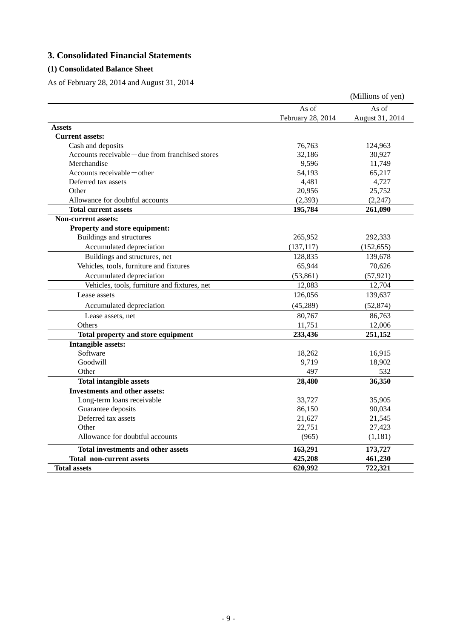# **3. Consolidated Financial Statements**

# **(1) Consolidated Balance Sheet**

As of February 28, 2014 and August 31, 2014

|                                                          |                   | (Millions of yen) |
|----------------------------------------------------------|-------------------|-------------------|
|                                                          | As of             | As of             |
|                                                          | February 28, 2014 | August 31, 2014   |
| <b>Assets</b>                                            |                   |                   |
| <b>Current assets:</b>                                   |                   |                   |
| Cash and deposits                                        | 76,763            | 124,963           |
| Accounts receivable $-\text{due from franchised stores}$ | 32,186            | 30,927            |
| Merchandise                                              | 9,596             | 11,749            |
| Accounts receivable-other                                | 54,193            | 65,217            |
| Deferred tax assets                                      | 4,481             | 4,727             |
| Other                                                    | 20,956            | 25,752            |
| Allowance for doubtful accounts                          | (2, 393)          | (2, 247)          |
| <b>Total current assets</b>                              | 195,784           | 261,090           |
| <b>Non-current assets:</b>                               |                   |                   |
| Property and store equipment:                            |                   |                   |
| Buildings and structures                                 | 265,952           | 292,333           |
| Accumulated depreciation                                 | (137, 117)        | (152, 655)        |
| Buildings and structures, net                            | 128,835           | 139,678           |
| Vehicles, tools, furniture and fixtures                  | 65,944            | 70,626            |
| Accumulated depreciation                                 | (53, 861)         | (57, 921)         |
| Vehicles, tools, furniture and fixtures, net             | 12,083            | 12,704            |
| Lease assets                                             | 126,056           | 139,637           |
| Accumulated depreciation                                 | (45, 289)         | (52, 874)         |
| Lease assets, net                                        | 80,767            | 86,763            |
| Others                                                   | 11,751            | 12,006            |
| Total property and store equipment                       | 233,436           | 251,152           |
| <b>Intangible assets:</b>                                |                   |                   |
| Software                                                 | 18,262            | 16,915            |
| Goodwill                                                 | 9,719             | 18,902            |
| Other                                                    | 497               | 532               |
| <b>Total intangible assets</b>                           | 28,480            | 36,350            |
| <b>Investments and other assets:</b>                     |                   |                   |
| Long-term loans receivable                               | 33,727            | 35,905            |
| Guarantee deposits                                       | 86,150            | 90,034            |
| Deferred tax assets                                      | 21,627            | 21,545            |
| Other                                                    | 22,751            | 27,423            |
| Allowance for doubtful accounts                          | (965)             | (1, 181)          |
| <b>Total investments and other assets</b>                | 163,291           | 173,727           |
| <b>Total non-current assets</b>                          | 425,208           | 461,230           |
| <b>Total assets</b>                                      | 620,992           | 722,321           |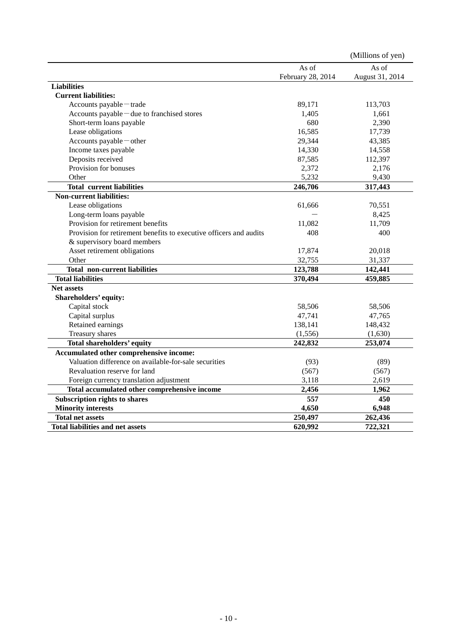|                                                                    |                   | (Millions of yen) |
|--------------------------------------------------------------------|-------------------|-------------------|
|                                                                    | As of             | As of             |
|                                                                    | February 28, 2014 | August 31, 2014   |
| <b>Liabilities</b>                                                 |                   |                   |
| <b>Current liabilities:</b>                                        |                   |                   |
| Accounts payable-trade                                             | 89,171            | 113,703           |
| Accounts payable – due to franchised stores                        | 1,405             | 1,661             |
| Short-term loans payable                                           | 680               | 2,390             |
| Lease obligations                                                  | 16,585            | 17,739            |
| Accounts payable-other                                             | 29,344            | 43,385            |
| Income taxes payable                                               | 14,330            | 14,558            |
| Deposits received                                                  | 87,585            | 112,397           |
| Provision for bonuses                                              | 2,372             | 2,176             |
| Other                                                              | 5,232             | 9,430             |
| <b>Total current liabilities</b>                                   | 246,706           | 317,443           |
| <b>Non-current liabilities:</b>                                    |                   |                   |
| Lease obligations                                                  | 61,666            | 70,551            |
| Long-term loans payable                                            |                   | 8,425             |
| Provision for retirement benefits                                  | 11,082            | 11,709            |
| Provision for retirement benefits to executive officers and audits | 408               | 400               |
| & supervisory board members                                        |                   |                   |
| Asset retirement obligations                                       | 17,874            | 20,018            |
| Other                                                              | 32,755            | 31,337            |
| <b>Total non-current liabilities</b>                               | 123,788           | 142,441           |
| <b>Total liabilities</b>                                           | 370,494           | 459,885           |
| <b>Net assets</b>                                                  |                   |                   |
| Shareholders' equity:                                              |                   |                   |
| Capital stock                                                      | 58,506            | 58,506            |
| Capital surplus                                                    | 47,741            | 47,765            |
| Retained earnings                                                  | 138,141           | 148,432           |
| Treasury shares                                                    | (1, 556)          | (1,630)           |
| Total shareholders' equity                                         | 242,832           | 253,074           |
| Accumulated other comprehensive income:                            |                   |                   |
| Valuation difference on available-for-sale securities              | (93)              | (89)              |
| Revaluation reserve for land                                       | (567)             | (567)             |
| Foreign currency translation adjustment                            | 3,118             | 2,619             |
| Total accumulated other comprehensive income                       | 2,456             | 1,962             |
| <b>Subscription rights to shares</b>                               | 557               | 450               |
| <b>Minority interests</b>                                          | 4,650             | 6,948             |
| <b>Total net assets</b>                                            | 250,497           | 262,436           |
| <b>Total liabilities and net assets</b>                            | 620,992           | 722,321           |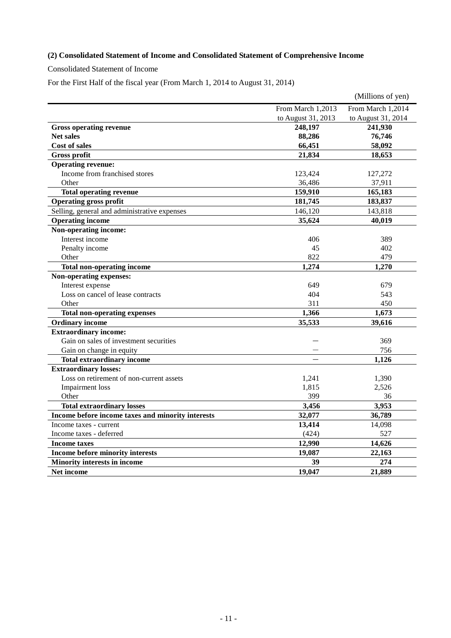# **(2) Consolidated Statement of Income and Consolidated Statement of Comprehensive Income**

Consolidated Statement of Income

For the First Half of the fiscal year (From March 1, 2014 to August 31, 2014)

|                                                   |                    | (Millions of yen)  |
|---------------------------------------------------|--------------------|--------------------|
|                                                   | From March 1,2013  | From March 1,2014  |
|                                                   | to August 31, 2013 | to August 31, 2014 |
| <b>Gross operating revenue</b>                    | 248,197            | 241,930            |
| <b>Net sales</b>                                  | 88,286             | 76,746             |
| Cost of sales                                     | 66,451             | 58,092             |
| <b>Gross profit</b>                               | 21,834             | 18,653             |
| <b>Operating revenue:</b>                         |                    |                    |
| Income from franchised stores                     | 123,424            | 127,272            |
| Other                                             | 36,486             | 37,911             |
| <b>Total operating revenue</b>                    | 159,910            | 165,183            |
| <b>Operating gross profit</b>                     | 181,745            | 183,837            |
| Selling, general and administrative expenses      | 146,120            | 143,818            |
| <b>Operating income</b>                           | 35,624             | 40,019             |
| Non-operating income:                             |                    |                    |
| Interest income                                   | 406                | 389                |
| Penalty income                                    | 45                 | 402                |
| Other                                             | 822                | 479                |
| <b>Total non-operating income</b>                 | 1,274              | 1,270              |
| Non-operating expenses:                           |                    |                    |
| Interest expense                                  | 649                | 679                |
| Loss on cancel of lease contracts                 | 404                | 543                |
| Other                                             | 311                | 450                |
| <b>Total non-operating expenses</b>               | 1,366              | 1,673              |
| <b>Ordinary income</b>                            | 35,533             | 39,616             |
| <b>Extraordinary income:</b>                      |                    |                    |
| Gain on sales of investment securities            |                    | 369                |
| Gain on change in equity                          |                    | 756                |
| <b>Total extraordinary income</b>                 |                    | 1,126              |
| <b>Extraordinary losses:</b>                      |                    |                    |
| Loss on retirement of non-current assets          | 1,241              | 1,390              |
| <b>Impairment</b> loss                            | 1,815              | 2,526              |
| Other                                             | 399                | 36                 |
| <b>Total extraordinary losses</b>                 | 3,456              | 3,953              |
| Income before income taxes and minority interests | 32,077             | 36,789             |
| Income taxes - current                            | 13,414             | 14,098             |
| Income taxes - deferred                           | (424)              | 527                |
| <b>Income taxes</b>                               | 12,990             | 14,626             |
| Income before minority interests                  | 19,087             | 22,163             |
| <b>Minority interests in income</b>               | 39                 | 274                |
| <b>Net income</b>                                 | 19,047             | 21,889             |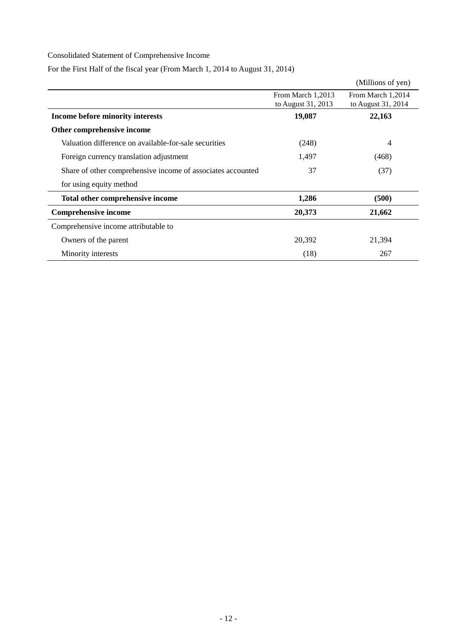# Consolidated Statement of Comprehensive Income

For the First Half of the fiscal year (From March 1, 2014 to August 31, 2014)

|                                                             |                    | (Millions of yen)  |
|-------------------------------------------------------------|--------------------|--------------------|
|                                                             | From March 1,2013  | From March 1,2014  |
|                                                             | to August 31, 2013 | to August 31, 2014 |
| Income before minority interests                            | 19,087             | 22,163             |
| Other comprehensive income                                  |                    |                    |
| Valuation difference on available-for-sale securities       | (248)              | 4                  |
| Foreign currency translation adjustment                     | 1,497              | (468)              |
| Share of other comprehensive income of associates accounted | 37                 | (37)               |
| for using equity method                                     |                    |                    |
| Total other comprehensive income                            | 1,286              | (500)              |
| <b>Comprehensive income</b>                                 | 20,373             | 21,662             |
| Comprehensive income attributable to                        |                    |                    |
| Owners of the parent                                        | 20,392             | 21,394             |
| Minority interests                                          | (18)               | 267                |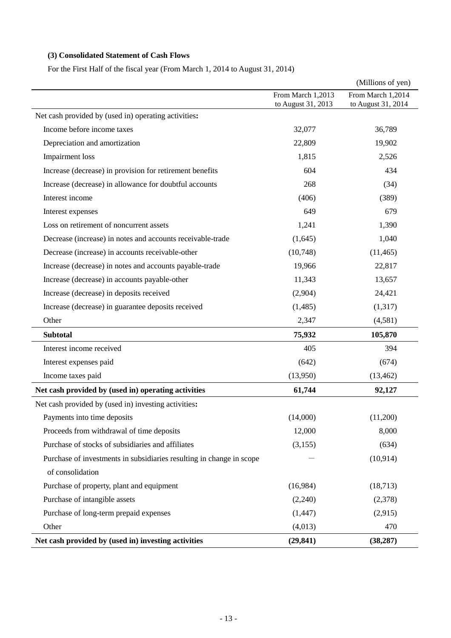# **(3) Consolidated Statement of Cash Flows**

For the First Half of the fiscal year (From March 1, 2014 to August 31, 2014)

|                                                                      |                                         | (Millions of yen)                       |
|----------------------------------------------------------------------|-----------------------------------------|-----------------------------------------|
|                                                                      | From March 1,2013<br>to August 31, 2013 | From March 1,2014<br>to August 31, 2014 |
| Net cash provided by (used in) operating activities:                 |                                         |                                         |
| Income before income taxes                                           | 32,077                                  | 36,789                                  |
| Depreciation and amortization                                        | 22,809                                  | 19,902                                  |
| <b>Impairment</b> loss                                               | 1,815                                   | 2,526                                   |
| Increase (decrease) in provision for retirement benefits             | 604                                     | 434                                     |
| Increase (decrease) in allowance for doubtful accounts               | 268                                     | (34)                                    |
| Interest income                                                      | (406)                                   | (389)                                   |
| Interest expenses                                                    | 649                                     | 679                                     |
| Loss on retirement of noncurrent assets                              | 1,241                                   | 1,390                                   |
| Decrease (increase) in notes and accounts receivable-trade           | (1,645)                                 | 1,040                                   |
| Decrease (increase) in accounts receivable-other                     | (10,748)                                | (11, 465)                               |
| Increase (decrease) in notes and accounts payable-trade              | 19,966                                  | 22,817                                  |
| Increase (decrease) in accounts payable-other                        | 11,343                                  | 13,657                                  |
| Increase (decrease) in deposits received                             | (2,904)                                 | 24,421                                  |
| Increase (decrease) in guarantee deposits received                   | (1,485)                                 | (1,317)                                 |
| Other                                                                | 2,347                                   | (4,581)                                 |
| <b>Subtotal</b>                                                      | 75,932                                  | 105,870                                 |
| Interest income received                                             | 405                                     | 394                                     |
| Interest expenses paid                                               | (642)                                   | (674)                                   |
| Income taxes paid                                                    | (13,950)                                | (13, 462)                               |
| Net cash provided by (used in) operating activities                  | 61,744                                  | 92,127                                  |
| Net cash provided by (used in) investing activities:                 |                                         |                                         |
| Payments into time deposits                                          | (14,000)                                | (11,200)                                |
| Proceeds from withdrawal of time deposits                            | 12,000                                  | 8,000                                   |
| Purchase of stocks of subsidiaries and affiliates                    | (3, 155)                                | (634)                                   |
| Purchase of investments in subsidiaries resulting in change in scope |                                         | (10, 914)                               |
| of consolidation                                                     |                                         |                                         |
| Purchase of property, plant and equipment                            | (16,984)                                | (18,713)                                |
| Purchase of intangible assets                                        | (2,240)                                 | (2,378)                                 |
| Purchase of long-term prepaid expenses                               | (1, 447)                                | (2,915)                                 |
| Other                                                                | (4,013)                                 | 470                                     |
| Net cash provided by (used in) investing activities                  | (29, 841)                               | (38, 287)                               |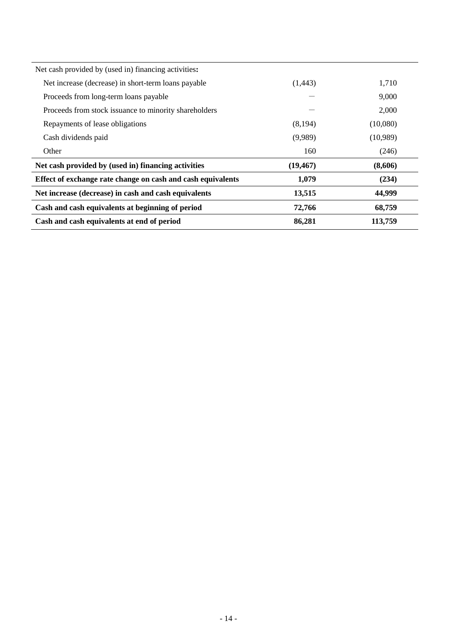| Cash and cash equivalents at beginning of period<br>Cash and cash equivalents at end of period | 72,766<br>86,281 | 68,759<br>113,759 |
|------------------------------------------------------------------------------------------------|------------------|-------------------|
| Net increase (decrease) in cash and cash equivalents                                           | 13,515           | 44,999            |
| Effect of exchange rate change on cash and cash equivalents                                    | 1,079            | (234)             |
| Net cash provided by (used in) financing activities                                            | (19, 467)        | (8,606)           |
| Other                                                                                          | 160              | (246)             |
| Cash dividends paid                                                                            | (9,989)          | (10,989)          |
| Repayments of lease obligations                                                                | (8,194)          | (10,080)          |
| Proceeds from stock issuance to minority shareholders                                          |                  | 2,000             |
| Proceeds from long-term loans payable                                                          |                  | 9.000             |
| Net increase (decrease) in short-term loans payable                                            | (1,443)          | 1,710             |
| Net cash provided by (used in) financing activities:                                           |                  |                   |